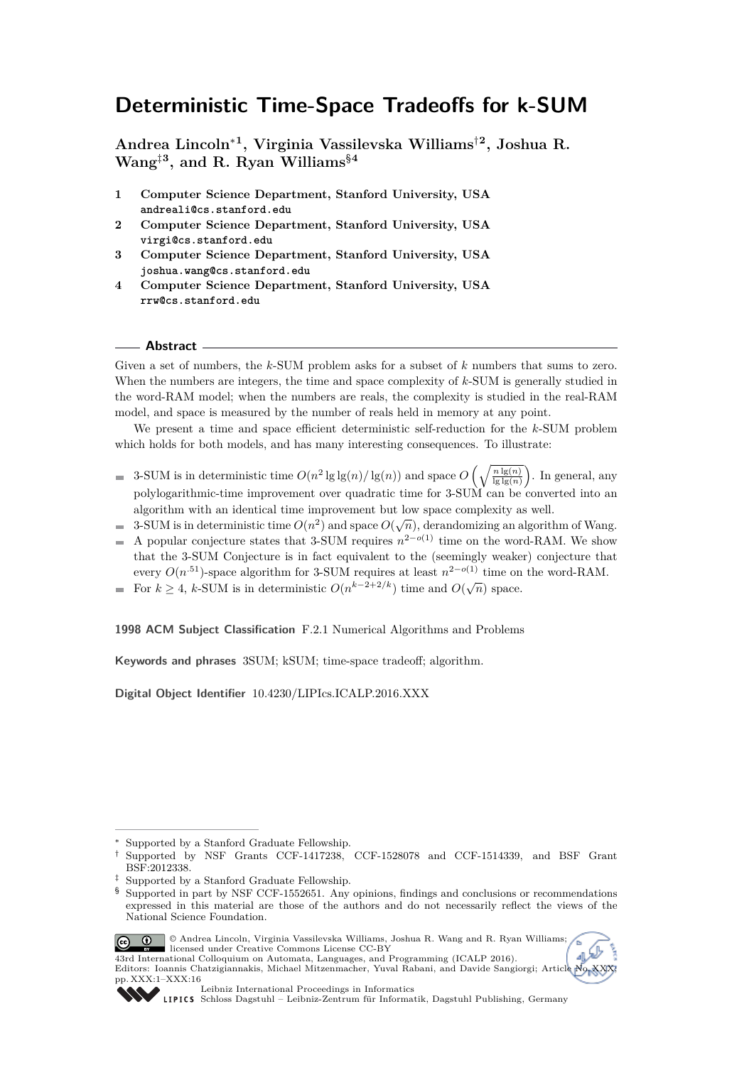## **Deterministic Time-Space Tradeoffs for k-SUM**

**Andrea Lincoln**<sup>∗</sup>**<sup>1</sup> , Virginia Vassilevska Williams**†**<sup>2</sup> , Joshua R. Wang**‡**<sup>3</sup> , and R. Ryan Williams**§**<sup>4</sup>**

- **1 Computer Science Department, Stanford University, USA andreali@cs.stanford.edu**
- **2 Computer Science Department, Stanford University, USA virgi@cs.stanford.edu**
- **3 Computer Science Department, Stanford University, USA joshua.wang@cs.stanford.edu**
- **4 Computer Science Department, Stanford University, USA rrw@cs.stanford.edu**

#### **Abstract**

Given a set of numbers, the *k*-SUM problem asks for a subset of *k* numbers that sums to zero. When the numbers are integers, the time and space complexity of *k*-SUM is generally studied in the word-RAM model; when the numbers are reals, the complexity is studied in the real-RAM model, and space is measured by the number of reals held in memory at any point.

We present a time and space efficient deterministic self-reduction for the *k*-SUM problem which holds for both models, and has many interesting consequences. To illustrate:

- 3-SUM is in deterministic time  $O(n^2 \lg \lg(n) / \lg(n))$  and space  $O\left(\sqrt{\frac{n \lg(n)}{\lg \lg(n)}}\right)$ . In general, any polylogarithmic-time improvement over quadratic time for 3-SUM can be converted into an algorithm with an identical time improvement but low space complexity as well.
- $3$ -SUM is in deterministic time  $O(n^2)$  and space  $O(\sqrt{n})$ , derandomizing an algorithm of Wang.  $\equiv$
- A popular conjecture states that 3-SUM requires  $n^{2-o(1)}$  time on the word-RAM. We show  $\blacksquare$ that the 3-SUM Conjecture is in fact equivalent to the (seemingly weaker) conjecture that every  $O(n^{.51})$ -space algorithm for 3-SUM requires at least  $n^{2-o(1)}$  time on the word-RAM.
- For  $k \geq 4$ , *k*-SUM is in deterministic  $O(n^{k-2+2/k})$  time and  $O(\sqrt{n})$  space.

**1998 ACM Subject Classification** F.2.1 Numerical Algorithms and Problems

**Keywords and phrases** 3SUM; kSUM; time-space tradeoff; algorithm.

**Digital Object Identifier** [10.4230/LIPIcs.ICALP.2016.XXX](http://dx.doi.org/10.4230/LIPIcs.ICALP.2016.XXX)

<sup>§</sup> Supported in part by NSF CCF-1552651. Any opinions, findings and conclusions or recommendations expressed in this material are those of the authors and do not necessarily reflect the views of the National Science Foundation.



© Andrea Lincoln, Virginia Vassilevska Williams, Joshua R. Wang and R. Ryan Williams; 1374 International Colloquium on Automata, Languages, and Programming (ICALP 2016). Editors: Ioannis Chatzigiannakis, Michael Mitzenmacher, Yuval Rabani, and Davide Sangiorgi; Article





[Leibniz International Proceedings in Informatics](http://www.dagstuhl.de/lipics/)

<sup>∗</sup> Supported by a Stanford Graduate Fellowship.

<sup>†</sup> Supported by NSF Grants CCF-1417238, CCF-1528078 and CCF-1514339, and BSF Grant BSF:2012338.

<sup>‡</sup> Supported by a Stanford Graduate Fellowship.

LIPICS [Schloss Dagstuhl – Leibniz-Zentrum für Informatik, Dagstuhl Publishing, Germany](http://www.dagstuhl.de)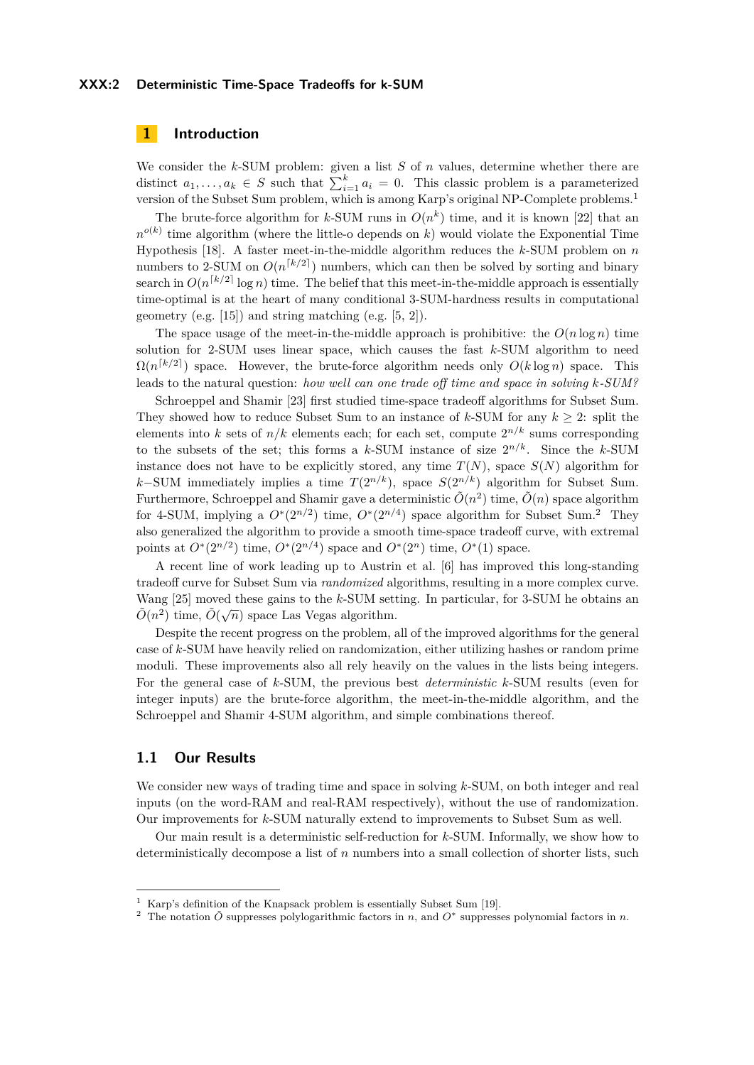#### **XXX:2 Deterministic Time-Space Tradeoffs for k-SUM**

## **1 Introduction**

We consider the *k*-SUM problem: given a list *S* of *n* values, determine whether there are distinct  $a_1, \ldots, a_k \in S$  such that  $\sum_{i=1}^k a_i = 0$ . This classic problem is a parameterized version of the Subset Sum problem, which is among Karp's original NP-Complete problems.[1](#page-1-0)

The brute-force algorithm for *k*-SUM runs in  $O(n^k)$  time, and it is known [\[22\]](#page-13-0) that an  $n^{o(k)}$  time algorithm (where the little-o depends on *k*) would violate the Exponential Time Hypothesis [\[18\]](#page-13-1). A faster meet-in-the-middle algorithm reduces the *k*-SUM problem on *n* numbers to 2-SUM on  $O(n^{\lceil k/2 \rceil})$  numbers, which can then be solved by sorting and binary search in  $O(n^{\lceil k/2 \rceil} \log n)$  time. The belief that this meet-in-the-middle approach is essentially time-optimal is at the heart of many conditional 3-SUM-hardness results in computational geometry (e.g. [\[15\]](#page-13-2)) and string matching (e.g. [\[5,](#page-12-0) [2\]](#page-12-1)).

The space usage of the meet-in-the-middle approach is prohibitive: the  $O(n \log n)$  time solution for 2-SUM uses linear space, which causes the fast *k*-SUM algorithm to need  $\Omega(n^{k/2})$  space. However, the brute-force algorithm needs only  $O(k \log n)$  space. This leads to the natural question: *how well can one trade off time and space in solving k-SUM?*

Schroeppel and Shamir [\[23\]](#page-13-3) first studied time-space tradeoff algorithms for Subset Sum. They showed how to reduce Subset Sum to an instance of *k*-SUM for any *k* ≥ 2: split the elements into *k* sets of  $n/k$  elements each; for each set, compute  $2^{n/k}$  sums corresponding to the subsets of the set; this forms a  $k$ -SUM instance of size  $2^{n/k}$ . Since the  $k$ -SUM instance does not have to be explicitly stored, any time  $T(N)$ , space  $S(N)$  algorithm for  $k$ −SUM immediately implies a time  $T(2^{n/k})$ , space  $S(2^{n/k})$  algorithm for Subset Sum. Furthermore, Schroeppel and Shamir gave a deterministic  $\tilde{O}(n^2)$  time,  $\tilde{O}(n)$  space algorithm for 4-SUM, implying a  $O^*(2^{n/2})$  $O^*(2^{n/2})$  $O^*(2^{n/2})$  time,  $O^*(2^{n/4})$  space algorithm for Subset Sum.<sup>2</sup> They also generalized the algorithm to provide a smooth time-space tradeoff curve, with extremal points at  $O^*(2^{n/2})$  time,  $O^*(2^{n/4})$  space and  $O^*(2^n)$  time,  $O^*(1)$  space.

A recent line of work leading up to Austrin et al. [\[6\]](#page-12-2) has improved this long-standing tradeoff curve for Subset Sum via *randomized* algorithms, resulting in a more complex curve. Wang [\[25\]](#page-13-4) moved these gains to the *k*-SUM setting. In particular, for 3-SUM he obtains an  $\tilde{\sigma}(\sqrt{2})$  $\tilde{O}(n^2)$  time,  $\tilde{O}(\sqrt{n})$  space Las Vegas algorithm.

Despite the recent progress on the problem, all of the improved algorithms for the general case of *k*-SUM have heavily relied on randomization, either utilizing hashes or random prime moduli. These improvements also all rely heavily on the values in the lists being integers. For the general case of *k*-SUM, the previous best *deterministic k*-SUM results (even for integer inputs) are the brute-force algorithm, the meet-in-the-middle algorithm, and the Schroeppel and Shamir 4-SUM algorithm, and simple combinations thereof.

## **1.1 Our Results**

We consider new ways of trading time and space in solving *k*-SUM, on both integer and real inputs (on the word-RAM and real-RAM respectively), without the use of randomization. Our improvements for *k*-SUM naturally extend to improvements to Subset Sum as well.

Our main result is a deterministic self-reduction for *k*-SUM. Informally, we show how to deterministically decompose a list of *n* numbers into a small collection of shorter lists, such

<span id="page-1-0"></span><sup>1</sup> Karp's definition of the Knapsack problem is essentially Subset Sum [\[19\]](#page-13-5).

<span id="page-1-1"></span><sup>&</sup>lt;sup>2</sup> The notation  $\tilde{O}$  suppresses polylogarithmic factors in *n*, and  $O^*$  suppresses polynomial factors in *n*.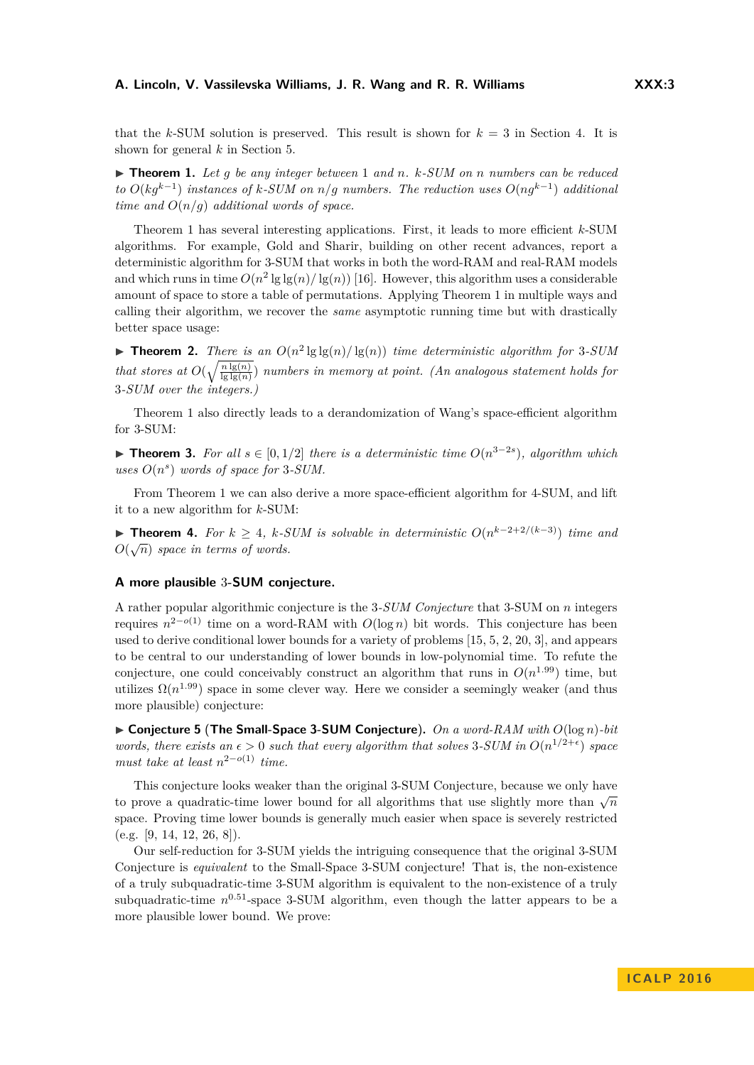#### **A. Lincoln, V. Vassilevska Williams, J. R. Wang and R. R. Williams XXX:3**

that the  $k$ -SUM solution is preserved. This result is shown for  $k = 3$  in Section [4.](#page-7-0) It is shown for general *k* in Section [5.](#page-11-0)

<span id="page-2-0"></span>I **Theorem 1.** *Let g be any integer between* 1 *and n. k-SUM on n numbers can be reduced to*  $O(kg^{k-1})$  *instances of k-SUM on n/g numbers. The reduction uses*  $O(ng^{k-1})$  *additional time and*  $O(n/q)$  *additional words of space.* 

Theorem [1](#page-2-0) has several interesting applications. First, it leads to more efficient *k*-SUM algorithms. For example, Gold and Sharir, building on other recent advances, report a deterministic algorithm for 3-SUM that works in both the word-RAM and real-RAM models and which runs in time  $O(n^2 \lg \lg(n) / \lg(n))$  [\[16\]](#page-13-6). However, this algorithm uses a considerable amount of space to store a table of permutations. Applying Theorem [1](#page-2-0) in multiple ways and calling their algorithm, we recover the *same* asymptotic running time but with drastically better space usage:

**Find 1 Theorem 2.** *There is an*  $O(n^2 \lg \lg(n) / \lg(n))$  *time deterministic algorithm for* 3-SUM *that stores at*  $O(\sqrt{\frac{n \lg(n)}{\lg\lg(n)}})$  *numbers in memory at point. (An analogous statement holds for* 3*-SUM over the integers.)*

Theorem [1](#page-2-0) also directly leads to a derandomization of Wang's space-efficient algorithm for 3-SUM:

**► Theorem 3.** For all  $s \in [0, 1/2]$  there is a deterministic time  $O(n^{3-2s})$ , algorithm which uses  $O(n^s)$  words of space for 3-SUM.

From Theorem [1](#page-2-0) we can also derive a more space-efficient algorithm for 4-SUM, and lift it to a new algorithm for *k*-SUM:

**► Theorem 4.** *For*  $k \geq 4$ *,*  $k$ *-SUM is solvable in deterministic*  $O(n^{k-2+2/(k-3)})$  *time and*  $O(\sqrt{n})$  space in terms of words.

#### **A more plausible** 3**-SUM conjecture.**

A rather popular algorithmic conjecture is the 3*-SUM Conjecture* that 3-SUM on *n* integers requires *n* <sup>2</sup>−*o*(1) time on a word-RAM with *O*(log *n*) bit words. This conjecture has been used to derive conditional lower bounds for a variety of problems [\[15,](#page-13-2) [5,](#page-12-0) [2,](#page-12-1) [20,](#page-13-7) [3\]](#page-12-3), and appears to be central to our understanding of lower bounds in low-polynomial time. To refute the conjecture, one could conceivably construct an algorithm that runs in  $O(n^{1.99})$  time, but utilizes  $\Omega(n^{1.99})$  space in some clever way. Here we consider a seemingly weaker (and thus more plausible) conjecture:

<span id="page-2-1"></span>I **Conjecture 5** (**The Small-Space 3-SUM Conjecture**)**.** *On a word-RAM with O*(log *n*)*-bit words, there exists an*  $\epsilon > 0$  *such that every algorithm that solves* 3-SUM in  $O(n^{1/2+\epsilon})$  *space must take at least*  $n^{2-o(1)}$  *time.* 

This conjecture looks weaker than the original 3-SUM Conjecture, because we only have this conjecture looks weaker than the original 3-50 M Conjecture, because we only have<br>to prove a quadratic-time lower bound for all algorithms that use slightly more than  $\sqrt{n}$ space. Proving time lower bounds is generally much easier when space is severely restricted  $(e.g. [9, 14, 12, 26, 8]).$  $(e.g. [9, 14, 12, 26, 8]).$  $(e.g. [9, 14, 12, 26, 8]).$  $(e.g. [9, 14, 12, 26, 8]).$  $(e.g. [9, 14, 12, 26, 8]).$  $(e.g. [9, 14, 12, 26, 8]).$  $(e.g. [9, 14, 12, 26, 8]).$ 

Our self-reduction for 3-SUM yields the intriguing consequence that the original 3-SUM Conjecture is *equivalent* to the Small-Space 3-SUM conjecture! That is, the non-existence of a truly subquadratic-time 3-SUM algorithm is equivalent to the non-existence of a truly subquadratic-time  $n^{0.51}$ -space 3-SUM algorithm, even though the latter appears to be a more plausible lower bound. We prove: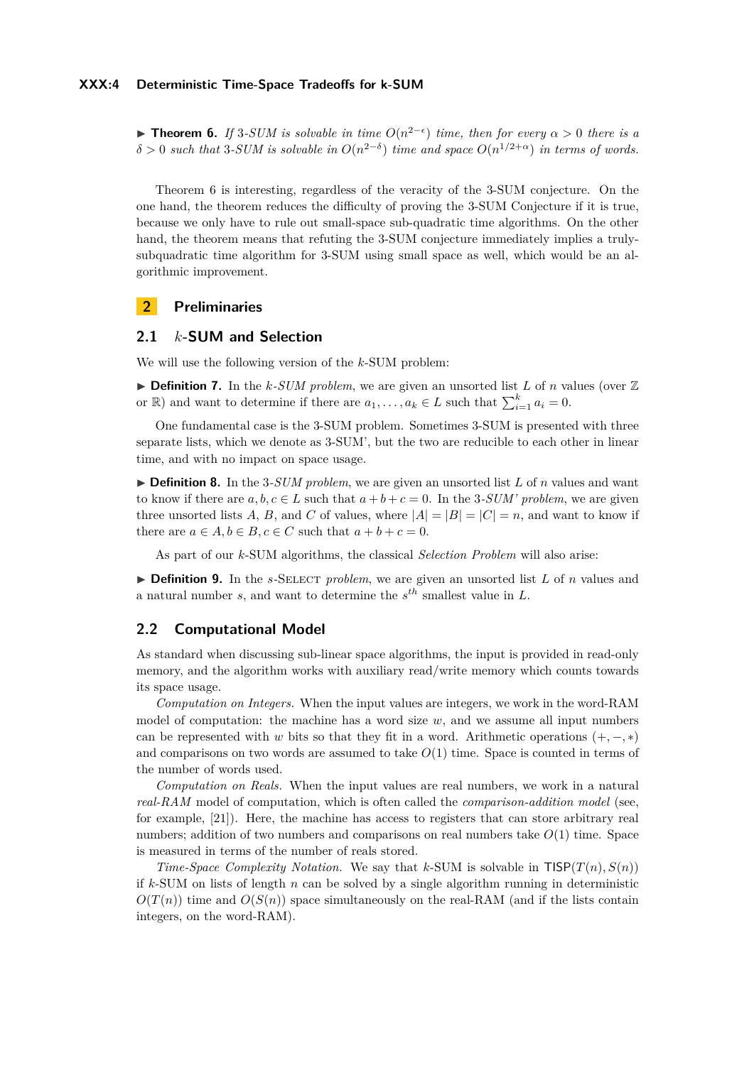#### **XXX:4 Deterministic Time-Space Tradeoffs for k-SUM**

<span id="page-3-0"></span>**Find Theorem 6.** *If* 3*-SUM is solvable in time*  $O(n^{2-\epsilon})$  *time, then for every*  $\alpha > 0$  *there is a*  $\delta > 0$  *such that* 3*-SUM is solvable in*  $O(n^{2-\delta})$  *time and space*  $O(n^{1/2+\alpha})$  *in terms of words.* 

Theorem [6](#page-3-0) is interesting, regardless of the veracity of the 3-SUM conjecture. On the one hand, the theorem reduces the difficulty of proving the 3-SUM Conjecture if it is true, because we only have to rule out small-space sub-quadratic time algorithms. On the other hand, the theorem means that refuting the 3-SUM conjecture immediately implies a trulysubquadratic time algorithm for 3-SUM using small space as well, which would be an algorithmic improvement.

## **2 Preliminaries**

## **2.1** *k***-SUM and Selection**

We will use the following version of the *k*-SUM problem:

 $\triangleright$  **Definition 7.** In the *k*-*SUM problem*, we are given an unsorted list *L* of *n* values (over  $\mathbb{Z}$ or  $\mathbb{R}$ ) and want to determine if there are  $a_1, \ldots, a_k \in L$  such that  $\sum_{i=1}^k a_i = 0$ .

One fundamental case is the 3-SUM problem. Sometimes 3-SUM is presented with three separate lists, which we denote as 3-SUM', but the two are reducible to each other in linear time, and with no impact on space usage.

 $\triangleright$  **Definition 8.** In the 3-*SUM problem*, we are given an unsorted list L of *n* values and want to know if there are  $a, b, c \in L$  such that  $a + b + c = 0$ . In the 3*-SUM' problem*, we are given three unsorted lists A, B, and C of values, where  $|A| = |B| = |C| = n$ , and want to know if there are  $a \in A, b \in B, c \in C$  such that  $a + b + c = 0$ .

As part of our *k*-SUM algorithms, the classical *Selection Problem* will also arise:

 $\triangleright$  **Definition 9.** In the *s*-SELECT *problem*, we are given an unsorted list *L* of *n* values and a natural number *s*, and want to determine the *s th* smallest value in *L*.

## **2.2 Computational Model**

As standard when discussing sub-linear space algorithms, the input is provided in read-only memory, and the algorithm works with auxiliary read/write memory which counts towards its space usage.

*Computation on Integers.* When the input values are integers, we work in the word-RAM model of computation: the machine has a word size  $w$ , and we assume all input numbers can be represented with *w* bits so that they fit in a word. Arithmetic operations  $(+, -, *)$ and comparisons on two words are assumed to take  $O(1)$  time. Space is counted in terms of the number of words used.

*Computation on Reals.* When the input values are real numbers, we work in a natural *real-RAM* model of computation, which is often called the *comparison-addition model* (see, for example, [\[21\]](#page-13-13)). Here, the machine has access to registers that can store arbitrary real numbers; addition of two numbers and comparisons on real numbers take *O*(1) time. Space is measured in terms of the number of reals stored.

*Time-Space Complexity Notation.* We say that *k*-SUM is solvable in  $TISP(T(n), S(n))$ if  $k$ -SUM on lists of length  $n$  can be solved by a single algorithm running in deterministic  $O(T(n))$  time and  $O(S(n))$  space simultaneously on the real-RAM (and if the lists contain integers, on the word-RAM).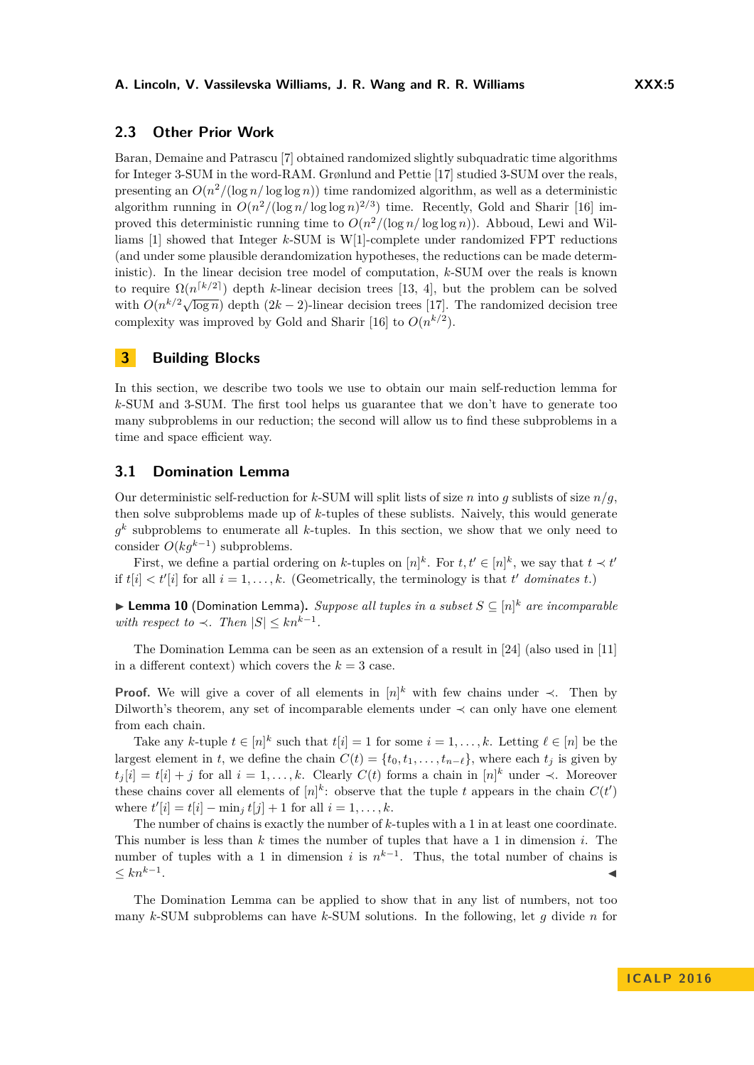## **2.3 Other Prior Work**

Baran, Demaine and Patrascu [\[7\]](#page-13-14) obtained randomized slightly subquadratic time algorithms for Integer 3-SUM in the word-RAM. Grønlund and Pettie [\[17\]](#page-13-15) studied 3-SUM over the reals, presenting an  $O(n^2/(\log n/\log\log n))$  time randomized algorithm, as well as a deterministic algorithm running in  $O(n^2/(\log n/\log \log n)^{2/3})$  time. Recently, Gold and Sharir [\[16\]](#page-13-6) improved this deterministic running time to  $O(n^2/(\log n/\log \log n))$ . Abboud, Lewi and Williams [\[1\]](#page-12-4) showed that Integer *k*-SUM is W[1]-complete under randomized FPT reductions (and under some plausible derandomization hypotheses, the reductions can be made deterministic). In the linear decision tree model of computation, *k*-SUM over the reals is known to require  $\Omega(n^{k/2})$  depth *k*-linear decision trees [\[13,](#page-13-16) [4\]](#page-12-5), but the problem can be solved with  $O(n^{k/2}\sqrt{\log n})$  depth  $(2k-2)$ -linear decision trees [\[17\]](#page-13-15). The randomized decision trees with  $O(n^{k/2}\sqrt{\log n})$  depth  $(2k-2)$ -linear decision trees [17]. complexity was improved by Gold and Sharir [\[16\]](#page-13-6) to  $O(n^{k/2})$ .

## **3 Building Blocks**

In this section, we describe two tools we use to obtain our main self-reduction lemma for *k*-SUM and 3-SUM. The first tool helps us guarantee that we don't have to generate too many subproblems in our reduction; the second will allow us to find these subproblems in a time and space efficient way.

## **3.1 Domination Lemma**

Our deterministic self-reduction for *k*-SUM will split lists of size *n* into *q* sublists of size  $n/q$ , then solve subproblems made up of *k*-tuples of these sublists. Naively, this would generate *g k* subproblems to enumerate all *k*-tuples. In this section, we show that we only need to consider *O*(*kgk*−<sup>1</sup> ) subproblems.

First, we define a partial ordering on *k*-tuples on  $[n]^k$ . For  $t, t' \in [n]^k$ , we say that  $t \prec t'$ if  $t[i] < t'[i]$  for all  $i = 1, ..., k$ . (Geometrically, the terminology is that  $t'$  *dominates*  $t$ .)

<span id="page-4-0"></span>▶ Lemma 10 (Domination Lemma). *Suppose all tuples in a subset*  $S \subseteq [n]^k$  *are incomparable with respect to*  $\prec$ *. Then*  $|S| \leq kn^{k-1}$ *.* 

The Domination Lemma can be seen as an extension of a result in [\[24\]](#page-13-17) (also used in [\[11\]](#page-13-18) in a different context) which covers the  $k = 3$  case.

**Proof.** We will give a cover of all elements in  $[n]^k$  with few chains under  $\prec$ . Then by Dilworth's theorem, any set of incomparable elements under ≺ can only have one element from each chain.

Take any *k*-tuple  $t \in [n]^k$  such that  $t[i] = 1$  for some  $i = 1, \ldots, k$ . Letting  $\ell \in [n]$  be the largest element in *t*, we define the chain  $C(t) = \{t_0, t_1, \ldots, t_{n-\ell}\}$ , where each  $t_j$  is given by  $t_j[i] = t[i] + j$  for all  $i = 1, \ldots, k$ . Clearly  $C(t)$  forms a chain in  $[n]^k$  under  $\prec$ . Moreover these chains cover all elements of  $[n]^k$ : observe that the tuple *t* appears in the chain  $C(t')$ where  $t'[i] = t[i] - \min_j t[j] + 1$  for all  $i = 1, ..., k$ .

The number of chains is exactly the number of *k*-tuples with a 1 in at least one coordinate. This number is less than *k* times the number of tuples that have a 1 in dimension *i*. The number of tuples with a 1 in dimension *i* is  $n^{k-1}$ . Thus, the total number of chains is  $≤ kn<sup>k-1</sup>$ . . J

The Domination Lemma can be applied to show that in any list of numbers, not too many *k*-SUM subproblems can have *k*-SUM solutions. In the following, let *g* divide *n* for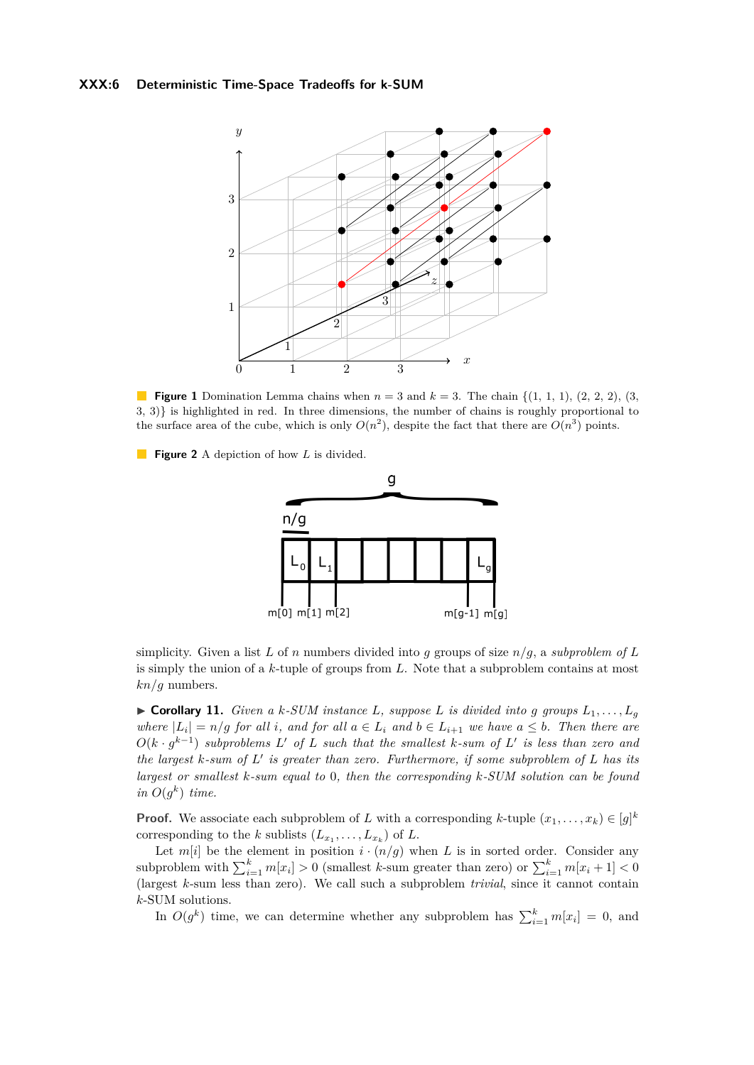#### **XXX:6 Deterministic Time-Space Tradeoffs for k-SUM**



**Figure 1** Domination Lemma chains when  $n = 3$  and  $k = 3$ . The chain  $\{(1, 1, 1), (2, 2, 2), (3, 4)\}$ 3, 3)} is highlighted in red. In three dimensions, the number of chains is roughly proportional to the surface area of the cube, which is only  $O(n^2)$ , despite the fact that there are  $O(n^3)$  points.

**Figure 2** A depiction of how *L* is divided.



simplicity. Given a list *L* of *n* numbers divided into *g* groups of size *n/g*, a *subproblem of L* is simply the union of a *k*-tuple of groups from *L*. Note that a subproblem contains at most *kn/g* numbers.

<span id="page-5-0"></span> $\triangleright$  **Corollary 11.** *Given a k-SUM instance L, suppose L is divided into g groups*  $L_1, \ldots, L_g$ *where*  $|L_i| = n/g$  *for all i*, and *for all*  $a \in L_i$  *and*  $b \in L_{i+1}$  *we have*  $a \leq b$ *. Then there are*  $O(k \cdot g^{k-1})$  *subproblems*  $L'$  *of*  $L$  *such that the smallest*  $k$ *-sum of*  $L'$  *is less than zero and the largest*  $k$ *-sum of*  $L'$  *is greater than zero. Furthermore, if some subproblem of*  $L$  *has its largest or smallest k-sum equal to* 0*, then the corresponding k-SUM solution can be found in*  $O(g^k)$  *time.* 

**Proof.** We associate each subproblem of *L* with a corresponding *k*-tuple  $(x_1, \ldots, x_k) \in [g]^k$ corresponding to the *k* sublists  $(L_{x_1}, \ldots, L_{x_k})$  of *L*.

Let  $m[i]$  be the element in position  $i \cdot (n/g)$  when *L* is in sorted order. Consider any subproblem with  $\sum_{i=1}^{k} m[x_i] > 0$  (smallest *k*-sum greater than zero) or  $\sum_{i=1}^{k} m[x_i + 1] < 0$ (largest *k*-sum less than zero). We call such a subproblem *trivial*, since it cannot contain *k*-SUM solutions.

In  $O(g^k)$  time, we can determine whether any subproblem has  $\sum_{i=1}^k m[x_i] = 0$ , and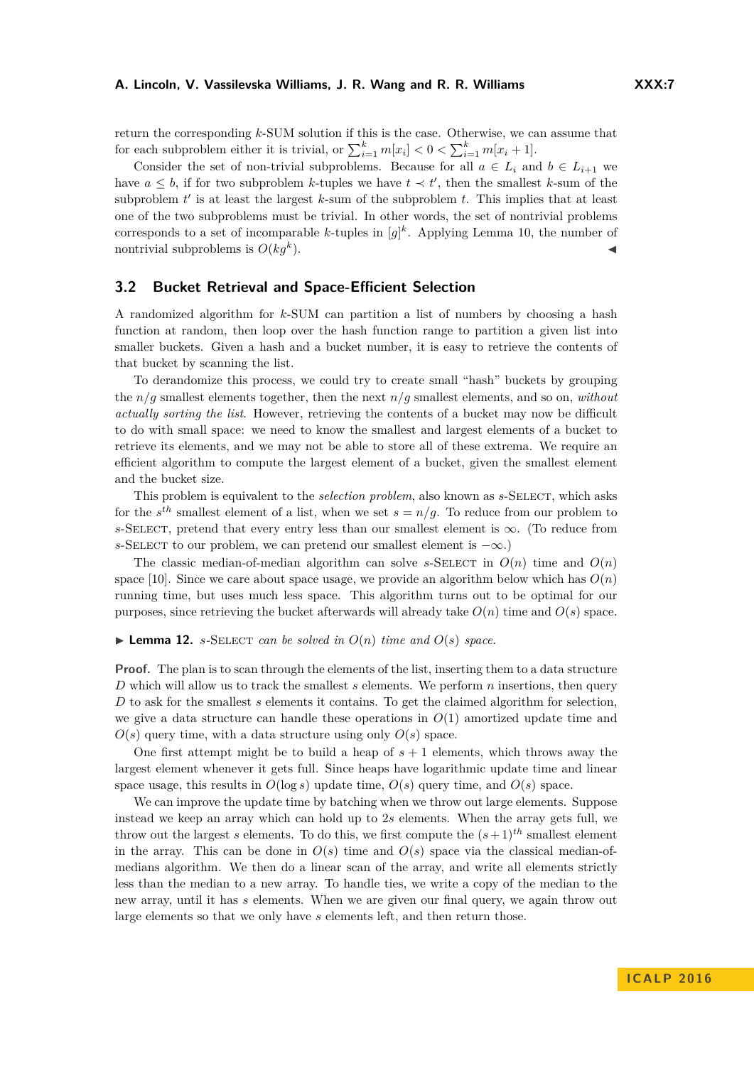#### **A. Lincoln, V. Vassilevska Williams, J. R. Wang and R. R. Williams XXX:7**

return the corresponding *k*-SUM solution if this is the case. Otherwise, we can assume that for each subproblem either it is trivial, or  $\sum_{i=1}^{k} m[x_i] < 0 < \sum_{i=1}^{k} m[x_i + 1]$ .

Consider the set of non-trivial subproblems. Because for all  $a \in L_i$  and  $b \in L_{i+1}$  we have  $a \leq b$ , if for two subproblem *k*-tuples we have  $t \prec t'$ , then the smallest *k*-sum of the subproblem  $t'$  is at least the largest  $k$ -sum of the subproblem  $t$ . This implies that at least one of the two subproblems must be trivial. In other words, the set of nontrivial problems corresponds to a set of incomparable *k*-tuples in  $[g]^k$ . Applying Lemma [10,](#page-4-0) the number of nontrivial subproblems is  $O(kq^k)$ .  $\blacksquare$ ).

## <span id="page-6-1"></span>**3.2 Bucket Retrieval and Space-Efficient Selection**

A randomized algorithm for *k*-SUM can partition a list of numbers by choosing a hash function at random, then loop over the hash function range to partition a given list into smaller buckets. Given a hash and a bucket number, it is easy to retrieve the contents of that bucket by scanning the list.

To derandomize this process, we could try to create small "hash" buckets by grouping the *n/g* smallest elements together, then the next *n/g* smallest elements, and so on, *without actually sorting the list*. However, retrieving the contents of a bucket may now be difficult to do with small space: we need to know the smallest and largest elements of a bucket to retrieve its elements, and we may not be able to store all of these extrema. We require an efficient algorithm to compute the largest element of a bucket, given the smallest element and the bucket size.

This problem is equivalent to the *selection problem*, also known as *s*-Select, which asks for the  $s^{th}$  smallest element of a list, when we set  $s = n/g$ . To reduce from our problem to *s*-SELECT, pretend that every entry less than our smallest element is  $\infty$ . (To reduce from *s*-SELECT to our problem, we can pretend our smallest element is  $-\infty$ .)

The classic median-of-median algorithm can solve *s*-SELECT in  $O(n)$  time and  $O(n)$ space [\[10\]](#page-13-19). Since we care about space usage, we provide an algorithm below which has  $O(n)$ running time, but uses much less space. This algorithm turns out to be optimal for our purposes, since retrieving the bucket afterwards will already take  $O(n)$  time and  $O(s)$  space.

#### <span id="page-6-0"></span> $\blacktriangleright$  **Lemma 12.** *s*-SELECT *can be solved in*  $O(n)$  *time and*  $O(s)$  *space.*

**Proof.** The plan is to scan through the elements of the list, inserting them to a data structure *D* which will allow us to track the smallest *s* elements. We perform *n* insertions, then query *D* to ask for the smallest *s* elements it contains. To get the claimed algorithm for selection, we give a data structure can handle these operations in  $O(1)$  amortized update time and  $O(s)$  query time, with a data structure using only  $O(s)$  space.

One first attempt might be to build a heap of  $s + 1$  elements, which throws away the largest element whenever it gets full. Since heaps have logarithmic update time and linear space usage, this results in  $O(\log s)$  update time,  $O(s)$  query time, and  $O(s)$  space.

We can improve the update time by batching when we throw out large elements. Suppose instead we keep an array which can hold up to 2*s* elements. When the array gets full, we throw out the largest *s* elements. To do this, we first compute the  $(s+1)^{th}$  smallest element in the array. This can be done in  $O(s)$  time and  $O(s)$  space via the classical median-ofmedians algorithm. We then do a linear scan of the array, and write all elements strictly less than the median to a new array. To handle ties, we write a copy of the median to the new array, until it has *s* elements. When we are given our final query, we again throw out large elements so that we only have *s* elements left, and then return those.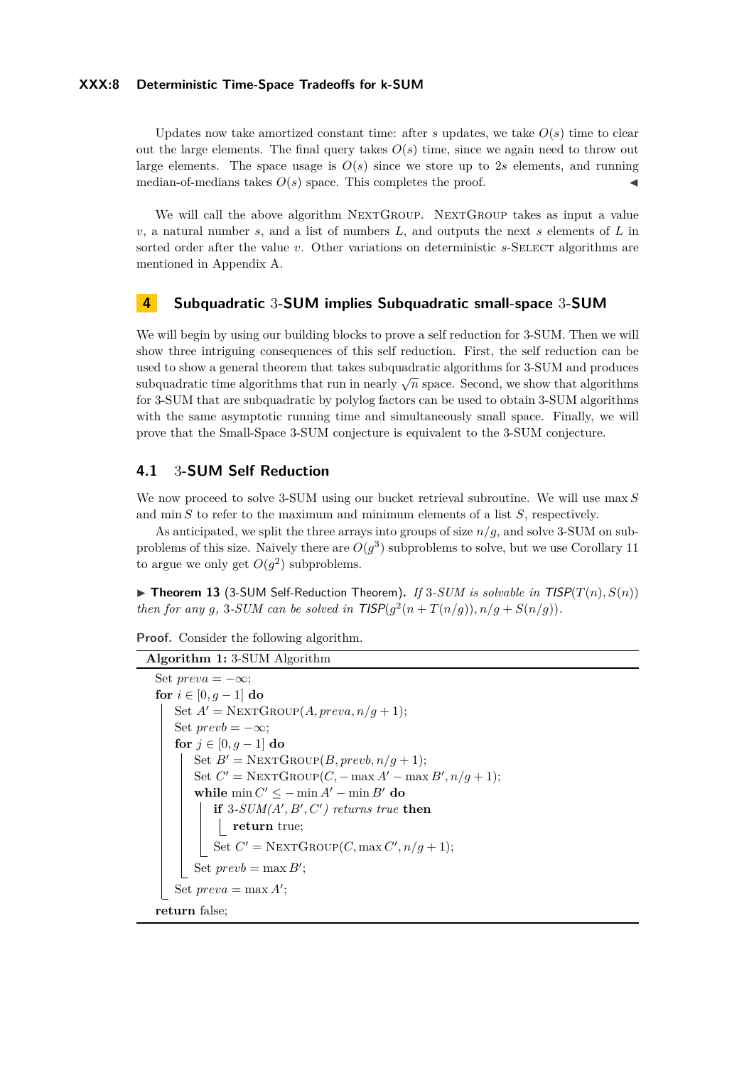#### **XXX:8 Deterministic Time-Space Tradeoffs for k-SUM**

Updates now take amortized constant time: after *s* updates, we take  $O(s)$  time to clear out the large elements. The final query takes  $O(s)$  time, since we again need to throw out large elements. The space usage is  $O(s)$  since we store up to 2*s* elements, and running median-of-medians takes  $O(s)$  space. This completes the proof.

We will call the above algorithm NEXTGROUP. NEXTGROUP takes as input a value *v*, a natural number *s*, and a list of numbers *L*, and outputs the next *s* elements of *L* in sorted order after the value *v*. Other variations on deterministic *s*-SELECT algorithms are mentioned in Appendix [A.](#page-13-20)

## <span id="page-7-0"></span>**4 Subquadratic** 3**-SUM implies Subquadratic small-space** 3**-SUM**

We will begin by using our building blocks to prove a self reduction for 3-SUM. Then we will show three intriguing consequences of this self reduction. First, the self reduction can be used to show a general theorem that takes subquadratic algorithms for 3-SUM and produces subquadratic time algorithms that run in nearly  $\sqrt{n}$  space. Second, we show that algorithms subquadratic time algorithms that run in nearly  $\sqrt{n}$  space. Second, we show that algorithms for 3-SUM that are subquadratic by polylog factors can be used to obtain 3-SUM algorithms with the same asymptotic running time and simultaneously small space. Finally, we will prove that the Small-Space 3-SUM conjecture is equivalent to the 3-SUM conjecture.

## **4.1** 3**-SUM Self Reduction**

We now proceed to solve 3-SUM using our bucket retrieval subroutine. We will use max *S* and min *S* to refer to the maximum and minimum elements of a list *S*, respectively.

As anticipated, we split the three arrays into groups of size *n/g*, and solve 3-SUM on subproblems of this size. Naively there are  $O(g^3)$  subproblems to solve, but we use Corollary [11](#page-5-0) to argue we only get  $O(g^2)$  subproblems.

<span id="page-7-2"></span> $\triangleright$  **Theorem 13** (3-SUM Self-Reduction Theorem). If 3-SUM is solvable in TISP( $T(n)$ ,  $S(n)$ ) *then for any* g, 3-SUM can be solved in  $TISP(g^2(n+T(n/g)), n/g + S(n/g))$ .

```
Proof. Consider the following algorithm.
```

```
Algorithm 1: 3-SUM Algorithm
Set preva = -\infty;
for i \in [0, q - 1] do
    Set A' = \text{NextGROUP}(A, \text{preva}, n/q + 1);Set prevb = -\infty;
    for j \in [0, q - 1] do
        Set B' = \text{NEXTGroup}(B, prevb, n/q + 1);Set C' = \text{NEXTGroup}(C, -\max A' - \max B', n/g + 1);while \min C' \leq -\min A' - \min B' do
            \mathbf{if} 3-SUM(A', B', C') returns true then
                return true;
            Set C' = \text{NEXTGroup}(C, \max C', n/g + 1);Set prevb = \max B';
    Set preva = \max A';return false;
```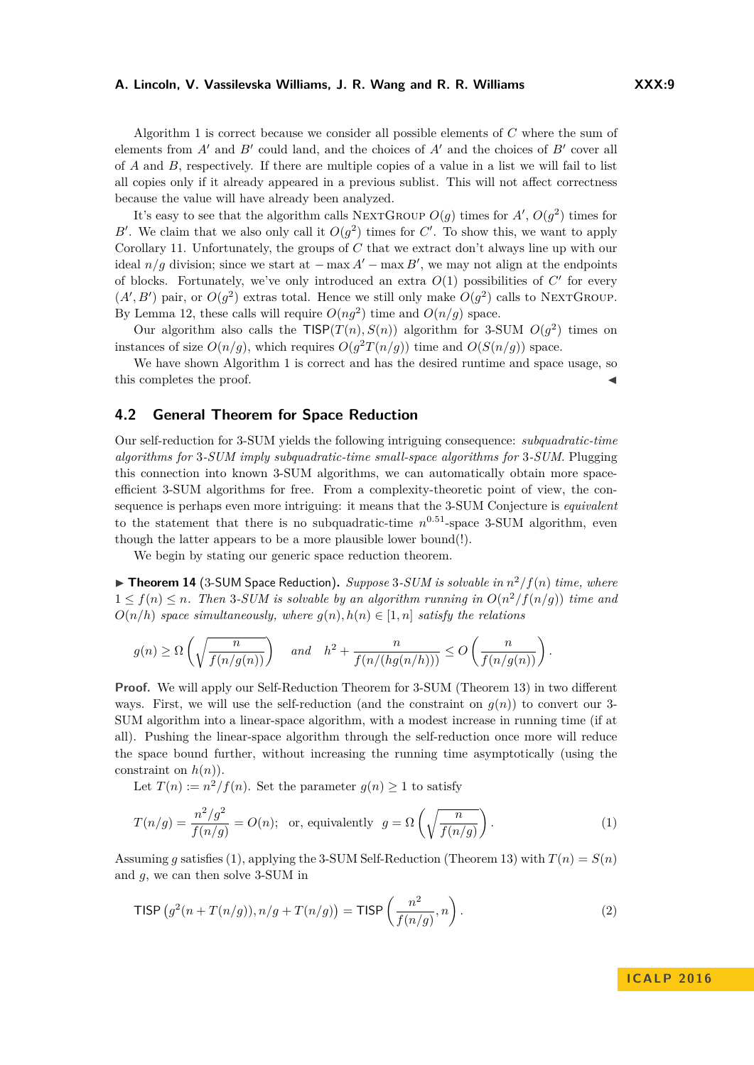#### **A. Lincoln, V. Vassilevska Williams, J. R. Wang and R. R. Williams XXX:9**

Algorithm [1](#page-7-1) is correct because we consider all possible elements of *C* where the sum of elements from  $A'$  and  $B'$  could land, and the choices of  $A'$  and the choices of  $B'$  cover all of *A* and *B*, respectively. If there are multiple copies of a value in a list we will fail to list all copies only if it already appeared in a previous sublist. This will not affect correctness because the value will have already been analyzed.

It's easy to see that the algorithm calls NEXTGROUP  $O(g)$  times for  $A', O(g^2)$  times for *B*<sup> $\prime$ </sup>. We claim that we also only call it  $O(g^2)$  times for *C*<sup> $\prime$ </sup>. To show this, we want to apply Corollary [11.](#page-5-0) Unfortunately, the groups of *C* that we extract don't always line up with our ideal  $n/g$  division; since we start at  $-\max A'-\max B'$ , we may not align at the endpoints of blocks. Fortunately, we've only introduced an extra  $O(1)$  possibilities of  $C'$  for every  $(A', B')$  pair, or  $O(g^2)$  extras total. Hence we still only make  $O(g^2)$  calls to NEXTGROUP. By Lemma [12,](#page-6-0) these calls will require  $O(ng^2)$  time and  $O(n/g)$  space.

Our algorithm also calls the  $TISP(T(n),S(n))$  algorithm for 3-SUM  $O(g^2)$  times on instances of size  $O(n/g)$ , which requires  $O(g^2T(n/g))$  time and  $O(S(n/g))$  space.

We have shown Algorithm [1](#page-7-1) is correct and has the desired runtime and space usage, so this completes the proof.

## **4.2 General Theorem for Space Reduction**

Our self-reduction for 3-SUM yields the following intriguing consequence: *subquadratic-time algorithms for* 3*-SUM imply subquadratic-time small-space algorithms for* 3*-SUM*. Plugging this connection into known 3-SUM algorithms, we can automatically obtain more spaceefficient 3-SUM algorithms for free. From a complexity-theoretic point of view, the consequence is perhaps even more intriguing: it means that the 3-SUM Conjecture is *equivalent* to the statement that there is no subquadratic-time  $n^{0.51}$ -space 3-SUM algorithm, even though the latter appears to be a more plausible lower bound(!).

We begin by stating our generic space reduction theorem.

<span id="page-8-2"></span> $\blacktriangleright$  **Theorem 14** (3-SUM Space Reduction). *Suppose* 3-SUM is solvable in  $n^2/f(n)$  time, where  $1 \leq f(n) \leq n$ . Then 3-SUM is solvable by an algorithm running in  $O(n^2/f(n/g))$  time and  $O(n/h)$  *space simultaneously, where*  $g(n), h(n) \in [1, n]$  *satisfy the relations* 

$$
g(n) \ge \Omega\left(\sqrt{\frac{n}{f(n/g(n))}}\right)
$$
 and  $h^2 + \frac{n}{f(n/(hg(n/h)))} \le O\left(\frac{n}{f(n/g(n))}\right)$ .

**Proof.** We will apply our Self-Reduction Theorem for 3-SUM (Theorem [13\)](#page-7-2) in two different ways. First, we will use the self-reduction (and the constraint on  $g(n)$ ) to convert our 3-SUM algorithm into a linear-space algorithm, with a modest increase in running time (if at all). Pushing the linear-space algorithm through the self-reduction once more will reduce the space bound further, without increasing the running time asymptotically (using the constraint on  $h(n)$ ).

Let  $T(n) := n^2/f(n)$ . Set the parameter  $g(n) \geq 1$  to satisfy

<span id="page-8-0"></span>
$$
T(n/g) = \frac{n^2/g^2}{f(n/g)} = O(n); \text{ or, equivalently } g = \Omega\left(\sqrt{\frac{n}{f(n/g)}}\right).
$$
 (1)

Assuming q satisfies [\(1\)](#page-8-0), applying the 3-SUM Self-Reduction (Theorem [13\)](#page-7-2) with  $T(n) = S(n)$ and *g*, we can then solve 3-SUM in

<span id="page-8-1"></span>
$$
\text{TISP}\left(g^2(n+T(n/g)), n/g + T(n/g)\right) = \text{TISP}\left(\frac{n^2}{f(n/g)}, n\right). \tag{2}
$$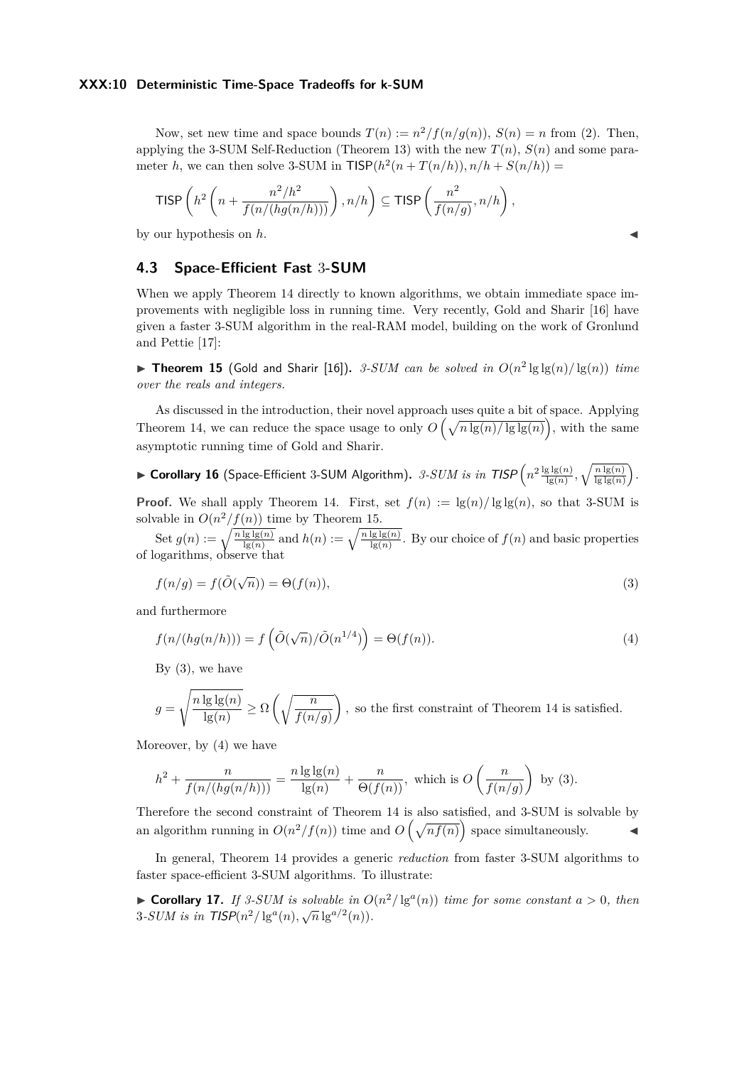#### **XXX:10 Deterministic Time-Space Tradeoffs for k-SUM**

Now, set new time and space bounds  $T(n) := n^2/f(n/g(n)), S(n) = n$  from [\(2\)](#page-8-1). Then, applying the 3-SUM Self-Reduction (Theorem [13\)](#page-7-2) with the new  $T(n)$ ,  $S(n)$  and some parameter *h*, we can then solve 3-SUM in  $TISP(h^2(n+T(n/h)), n/h + S(n/h)) =$ 

$$
\mathsf{TISP}\left(h^2\left(n+\frac{n^2/h^2}{f(n/(hg(n/h)))}\right), n/h\right) \subseteq \mathsf{TISP}\left(\frac{n^2}{f(n/g)}, n/h\right),
$$

by our hypothesis on h.

## **4.3 Space-Efficient Fast** 3**-SUM**

When we apply Theorem [14](#page-8-2) directly to known algorithms, we obtain immediate space improvements with negligible loss in running time. Very recently, Gold and Sharir [\[16\]](#page-13-6) have given a faster 3-SUM algorithm in the real-RAM model, building on the work of Gronlund and Pettie [\[17\]](#page-13-15):

<span id="page-9-0"></span>**Fineorem 15** (Gold and Sharir [\[16\]](#page-13-6)). *3-SUM can be solved in*  $O(n^2 \lg \lg(n) / \lg(n))$  *time over the reals and integers.*

As discussed in the introduction, their novel approach uses quite a bit of space. Applying Theorem [14,](#page-8-2) we can reduce the space usage to only  $O\left(\sqrt{n \lg(n)/\lg\lg(n)}\right)$ , with the same asymptotic running time of Gold and Sharir.

# <span id="page-9-3"></span> $\blacktriangleright$  Corollary 16 (Space-Efficient 3-SUM Algorithm).  $\beta$ - $SUM$  is in  $TISP\left(n^2\frac{\lg\lg(n)}{\lg(n)}, \sqrt{\frac{n\lg(n)}{\lg\lg(n)}}\right)$ .

**Proof.** We shall apply Theorem [14.](#page-8-2) First, set  $f(n) := \lg(n)/\lg\lg(n)$ , so that 3-SUM is solvable in  $O(n^2/f(n))$  time by Theorem [15.](#page-9-0)

Set  $g(n) := \sqrt{\frac{n \lg \lg(n)}{\lg(n)}}$  and  $h(n) := \sqrt{\frac{n \lg \lg(n)}{\lg(n)}}$ . By our choice of  $f(n)$  and basic properties of logarithms, observe that

<span id="page-9-1"></span>
$$
f(n/g) = f(\tilde{O}(\sqrt{n})) = \Theta(f(n)),
$$
\n(3)

and furthermore

<span id="page-9-2"></span>
$$
f(n/(hg(n/h))) = f\left(\tilde{O}(\sqrt{n})/\tilde{O}(n^{1/4})\right) = \Theta(f(n)).
$$
\n(4)

By  $(3)$ , we have

$$
g = \sqrt{\frac{n \lg \lg(n)}{\lg(n)}} \ge \Omega\left(\sqrt{\frac{n}{f(n/g)}}\right),
$$
 so the first constraint of Theorem 14 is satisfied.

Moreover, by [\(4\)](#page-9-2) we have

$$
h^2 + \frac{n}{f(n/(hg(n/h)))} = \frac{n \lg \lg(n)}{\lg(n)} + \frac{n}{\Theta(f(n))},
$$
 which is  $O\left(\frac{n}{f(n/g)}\right)$  by (3).

Therefore the second constraint of Theorem [14](#page-8-2) is also satisfied, and 3-SUM is solvable by an algorithm running in  $O(n^2/f(n))$  time and  $O(\sqrt{nf(n)})$  space simultaneously.

In general, Theorem [14](#page-8-2) provides a generic *reduction* from faster 3-SUM algorithms to faster space-efficient 3-SUM algorithms. To illustrate:

▶ Corollary 17. *If 3-SUM is solvable in*  $O(n^2/\lg^a(n))$  *time for some constant*  $a > 0$ *, then* **3**-SUM is in  $TISP(n^2/\lg^a(n), \sqrt{n}\lg^{a/2}(n))$ .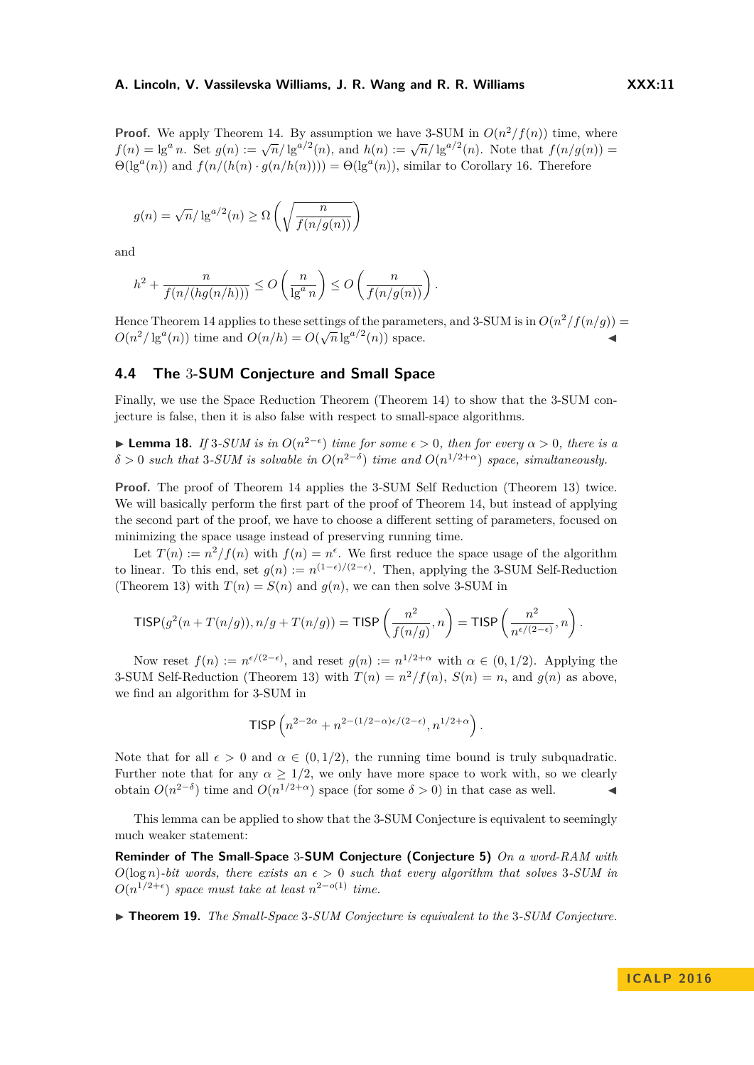**Proof.** We apply Theorem [14.](#page-8-2) By assumption we have 3-SUM in  $O(n^2/f(n))$  time, where *f*(*n*) = lg<sup>*a*</sup> *n*. Set *g*(*n*) := √ $\overline{n}/\lg^{a/2}(n)$ , and *h*(*n*) := √ $\overline{n}/\lg^{a/2}(n)$ . Note that *f*(*n/g*(*n*)) =  $\Theta(\lg^a(n))$  and  $f(n/(h(n) \cdot g(n/h(n)))) = \Theta(\lg^a(n))$ , similar to Corollary [16.](#page-9-3) Therefore

$$
g(n) = \sqrt{n}/\lg^{a/2}(n) \ge \Omega\left(\sqrt{\frac{n}{f(n/g(n))}}\right)
$$

and

$$
h^{2} + \frac{n}{f(n/(hg(n/h)))} \leq O\left(\frac{n}{\lg^{a} n}\right) \leq O\left(\frac{n}{f(n/g(n))}\right).
$$

Hence Theorem [14](#page-8-2) applies to these settings of the parameters, and 3-SUM is in  $O(n^2/f(n/g))$  $O(n^2/\lg^a(n))$  time and  $O(n/h) = O(\sqrt{n} \lg^{a/2}(n))$  space.

## **4.4 The** 3**-SUM Conjecture and Small Space**

Finally, we use the Space Reduction Theorem (Theorem [14\)](#page-8-2) to show that the 3-SUM conjecture is false, then it is also false with respect to small-space algorithms.

<span id="page-10-0"></span>**► Lemma 18.** *If* 3*-SUM is in*  $O(n^{2-\epsilon})$  *time for some*  $\epsilon > 0$ *, then for every*  $\alpha > 0$ *, there is a*  $\delta > 0$  *such that* 3*-SUM is solvable in*  $O(n^{2-\delta})$  *time and*  $O(n^{1/2+\alpha})$  *space, simultaneously.* 

**Proof.** The proof of Theorem [14](#page-8-2) applies the 3-SUM Self Reduction (Theorem [13\)](#page-7-2) twice. We will basically perform the first part of the proof of Theorem [14,](#page-8-2) but instead of applying the second part of the proof, we have to choose a different setting of parameters, focused on minimizing the space usage instead of preserving running time.

Let  $T(n) := n^2/f(n)$  with  $f(n) = n^{\epsilon}$ . We first reduce the space usage of the algorithm to linear. To this end, set  $g(n) := n^{(1-\epsilon)/(2-\epsilon)}$ . Then, applying the 3-SUM Self-Reduction (Theorem [13\)](#page-7-2) with  $T(n) = S(n)$  and  $g(n)$ , we can then solve 3-SUM in

$$
\mathsf{TISP}(g^2(n+T(n/g)), n/g+T(n/g)) = \mathsf{TISP}\left(\frac{n^2}{f(n/g)}, n\right) = \mathsf{TISP}\left(\frac{n^2}{n^{\epsilon/(2-\epsilon)}}, n\right).
$$

Now reset  $f(n) := n^{\epsilon/(2-\epsilon)}$ , and reset  $g(n) := n^{1/2+\alpha}$  with  $\alpha \in (0,1/2)$ . Applying the 3-SUM Self-Reduction (Theorem [13\)](#page-7-2) with  $T(n) = n^2/f(n)$ ,  $S(n) = n$ , and  $g(n)$  as above, we find an algorithm for 3-SUM in

$$
\text{TISP}\left(n^{2-2\alpha}+n^{2-(1/2-\alpha)\epsilon/(2-\epsilon)},n^{1/2+\alpha}\right).
$$

Note that for all  $\epsilon > 0$  and  $\alpha \in (0, 1/2)$ , the running time bound is truly subquadratic. Further note that for any  $\alpha \geq 1/2$ , we only have more space to work with, so we clearly obtain  $O(n^{2-\delta})$  time and  $O(n^{1/2+\alpha})$  space (for some  $\delta > 0$ ) in that case as well. <br>**→** 

This lemma can be applied to show that the 3-SUM Conjecture is equivalent to seemingly much weaker statement:

**Reminder of The Small-Space** 3**-SUM Conjecture (Conjecture [5\)](#page-2-1)** *On a word-RAM with*  $O(\log n)$ -bit words, there exists an  $\epsilon > 0$  such that every algorithm that solves 3-SUM in  $O(n^{1/2+\epsilon})$  *space must take at least*  $n^{2-o(1)}$  *time.* 

I **Theorem 19.** *The Small-Space* 3*-SUM Conjecture is equivalent to the* 3*-SUM Conjecture.*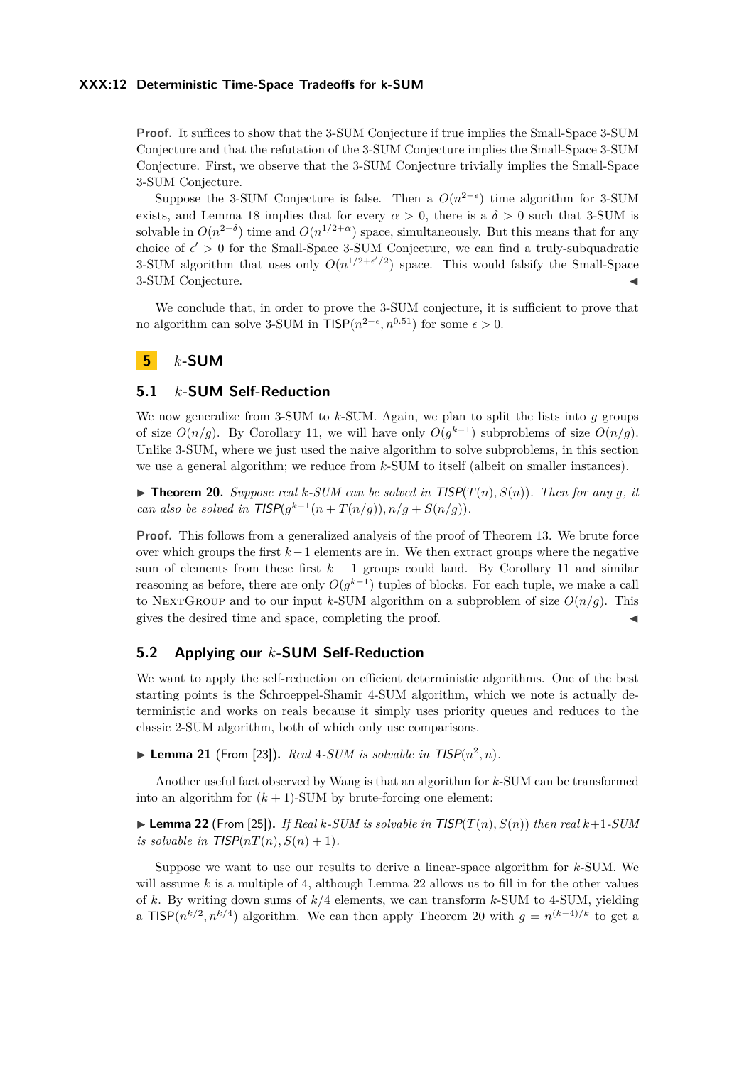#### **XXX:12 Deterministic Time-Space Tradeoffs for k-SUM**

**Proof.** It suffices to show that the 3-SUM Conjecture if true implies the Small-Space 3-SUM Conjecture and that the refutation of the 3-SUM Conjecture implies the Small-Space 3-SUM Conjecture. First, we observe that the 3-SUM Conjecture trivially implies the Small-Space 3-SUM Conjecture.

Suppose the 3-SUM Conjecture is false. Then a  $O(n^{2-\epsilon})$  time algorithm for 3-SUM exists, and Lemma [18](#page-10-0) implies that for every  $\alpha > 0$ , there is a  $\delta > 0$  such that 3-SUM is solvable in  $O(n^{2-\delta})$  time and  $O(n^{1/2+\alpha})$  space, simultaneously. But this means that for any choice of  $\epsilon' > 0$  for the Small-Space 3-SUM Conjecture, we can find a truly-subquadratic 3-SUM algorithm that uses only  $O(n^{1/2+\epsilon'/2})$  space. This would falsify the Small-Space 3-SUM Conjecture.

We conclude that, in order to prove the 3-SUM conjecture, it is sufficient to prove that no algorithm can solve 3-SUM in  $TISP(n^{2-\epsilon}, n^{0.51})$  for some  $\epsilon > 0$ .

## <span id="page-11-0"></span>**5** *k***-SUM**

#### **5.1** *k***-SUM Self-Reduction**

We now generalize from 3-SUM to *k*-SUM. Again, we plan to split the lists into *g* groups of size  $O(n/g)$ . By Corollary [11,](#page-5-0) we will have only  $O(g^{k-1})$  subproblems of size  $O(n/g)$ . Unlike 3-SUM, where we just used the naive algorithm to solve subproblems, in this section we use a general algorithm; we reduce from *k*-SUM to itself (albeit on smaller instances).

<span id="page-11-2"></span> $\blacktriangleright$  **Theorem 20.** *Suppose real k-SUM can be solved in*  $TISP(T(n), S(n))$ *. Then for any q, it can also be solved in*  $TISP(g^{k-1}(n+T(n/g)), n/g+S(n/g)).$ 

**Proof.** This follows from a generalized analysis of the proof of Theorem [13.](#page-7-2) We brute force over which groups the first *k*−1 elements are in. We then extract groups where the negative sum of elements from these first *k* − 1 groups could land. By Corollary [11](#page-5-0) and similar reasoning as before, there are only  $O(g^{k-1})$  tuples of blocks. For each tuple, we make a call to NEXTGROUP and to our input *k*-SUM algorithm on a subproblem of size  $O(n/g)$ . This gives the desired time and space, completing the proof.

## **5.2 Applying our** *k***-SUM Self-Reduction**

We want to apply the self-reduction on efficient deterministic algorithms. One of the best starting points is the Schroeppel-Shamir 4-SUM algorithm, which we note is actually deterministic and works on reals because it simply uses priority queues and reduces to the classic 2-SUM algorithm, both of which only use comparisons.

**Example 21** (From [\[23\]](#page-13-3)). *Real* 4-SUM is solvable in  $TISP(n^2, n)$ .

Another useful fact observed by Wang is that an algorithm for *k*-SUM can be transformed into an algorithm for  $(k + 1)$ -SUM by brute-forcing one element:

<span id="page-11-1"></span> $\blacktriangleright$  **Lemma 22** (From [\[25\]](#page-13-4)). *If Real k-SUM is solvable in*  $TISP(T(n), S(n))$  *then real k+1-SUM is solvable in*  $TISP(nT(n), S(n) + 1)$ *.* 

Suppose we want to use our results to derive a linear-space algorithm for *k*-SUM. We will assume *k* is a multiple of 4, although Lemma [22](#page-11-1) allows us to fill in for the other values of *k*. By writing down sums of *k/*4 elements, we can transform *k*-SUM to 4-SUM, yielding a TISP $(n^{k/2}, n^{k/4})$  algorithm. We can then apply Theorem [20](#page-11-2) with  $g = n^{(k-4)/k}$  to get a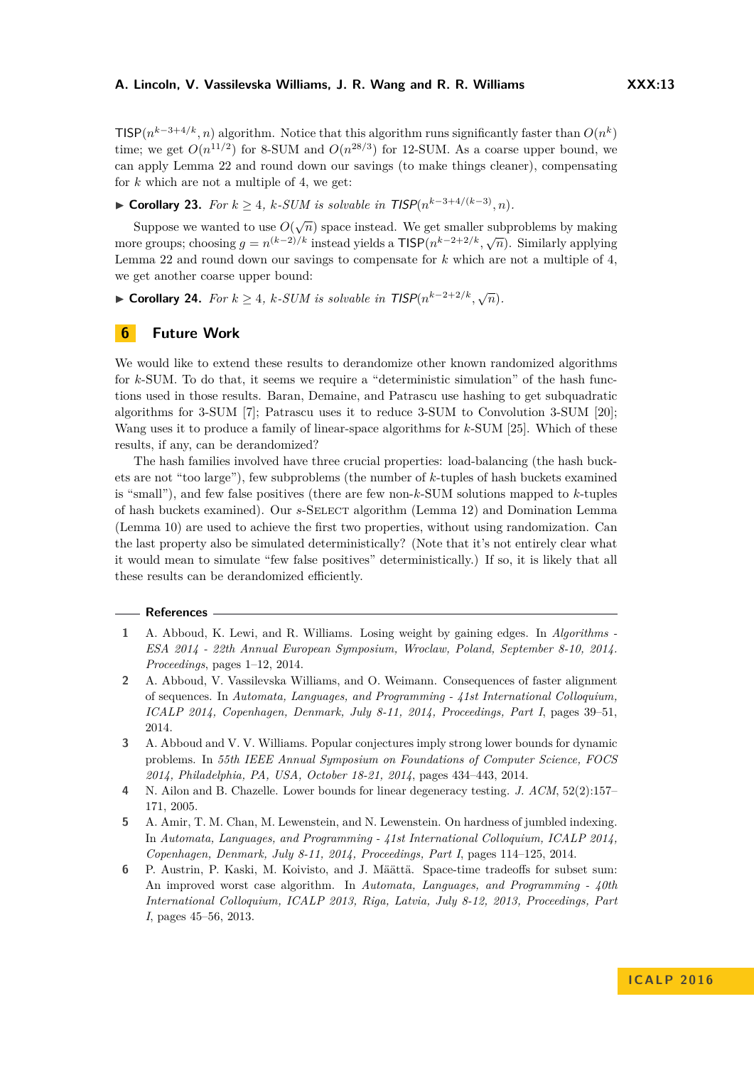TISP( $n^{k-3+4/k}, n$ ) algorithm. Notice that this algorithm runs significantly faster than  $O(n^k)$ time; we get  $O(n^{11/2})$  for 8-SUM and  $O(n^{28/3})$  for 12-SUM. As a coarse upper bound, we can apply Lemma [22](#page-11-1) and round down our savings (to make things cleaner), compensating for *k* which are not a multiple of 4, we get:

## ▶ **Corollary 23.** *For*  $k \geq 4$ *,*  $k$ -SUM is solvable in  $TISP(n^{k-3+4/(k-3)}, n)$ *.*

Suppose we wanted to use  $O(\sqrt{n})$  space instead. We get smaller subproblems by making more groups; choosing  $g = n^{(k-2)/k}$  instead yields a  $\textsf{TISP}(n^{k-2+2/k}, \sqrt{n})$ . Similarly applying Lemma [22](#page-11-1) and round down our savings to compensate for *k* which are not a multiple of 4, we get another coarse upper bound:

► **Corollary 24.** *For*  $k \geq 4$ *,*  $k$ -SUM is solvable in TISP $(n^{k-2+2/k}, \sqrt{n})$ *.* 

#### **6 Future Work**

We would like to extend these results to derandomize other known randomized algorithms for *k*-SUM. To do that, it seems we require a "deterministic simulation" of the hash functions used in those results. Baran, Demaine, and Patrascu use hashing to get subquadratic algorithms for 3-SUM [\[7\]](#page-13-14); Patrascu uses it to reduce 3-SUM to Convolution 3-SUM [\[20\]](#page-13-7); Wang uses it to produce a family of linear-space algorithms for *k*-SUM [\[25\]](#page-13-4). Which of these results, if any, can be derandomized?

The hash families involved have three crucial properties: load-balancing (the hash buckets are not "too large"), few subproblems (the number of *k*-tuples of hash buckets examined is "small"), and few false positives (there are few non-*k*-SUM solutions mapped to *k*-tuples of hash buckets examined). Our *s*-Select algorithm (Lemma [12\)](#page-6-0) and Domination Lemma (Lemma [10\)](#page-4-0) are used to achieve the first two properties, without using randomization. Can the last property also be simulated deterministically? (Note that it's not entirely clear what it would mean to simulate "few false positives" deterministically.) If so, it is likely that all these results can be derandomized efficiently.

#### **References**

- <span id="page-12-4"></span>**1** A. Abboud, K. Lewi, and R. Williams. Losing weight by gaining edges. In *Algorithms - ESA 2014 - 22th Annual European Symposium, Wroclaw, Poland, September 8-10, 2014. Proceedings*, pages 1–12, 2014.
- <span id="page-12-1"></span>**2** A. Abboud, V. Vassilevska Williams, and O. Weimann. Consequences of faster alignment of sequences. In *Automata, Languages, and Programming - 41st International Colloquium, ICALP 2014, Copenhagen, Denmark, July 8-11, 2014, Proceedings, Part I*, pages 39–51, 2014.
- <span id="page-12-3"></span>**3** A. Abboud and V. V. Williams. Popular conjectures imply strong lower bounds for dynamic problems. In *55th IEEE Annual Symposium on Foundations of Computer Science, FOCS 2014, Philadelphia, PA, USA, October 18-21, 2014*, pages 434–443, 2014.
- <span id="page-12-5"></span>**4** N. Ailon and B. Chazelle. Lower bounds for linear degeneracy testing. *J. ACM*, 52(2):157– 171, 2005.
- <span id="page-12-0"></span>**5** A. Amir, T. M. Chan, M. Lewenstein, and N. Lewenstein. On hardness of jumbled indexing. In *Automata, Languages, and Programming - 41st International Colloquium, ICALP 2014, Copenhagen, Denmark, July 8-11, 2014, Proceedings, Part I*, pages 114–125, 2014.
- <span id="page-12-2"></span>**6** P. Austrin, P. Kaski, M. Koivisto, and J. Määttä. Space-time tradeoffs for subset sum: An improved worst case algorithm. In *Automata, Languages, and Programming - 40th International Colloquium, ICALP 2013, Riga, Latvia, July 8-12, 2013, Proceedings, Part I*, pages 45–56, 2013.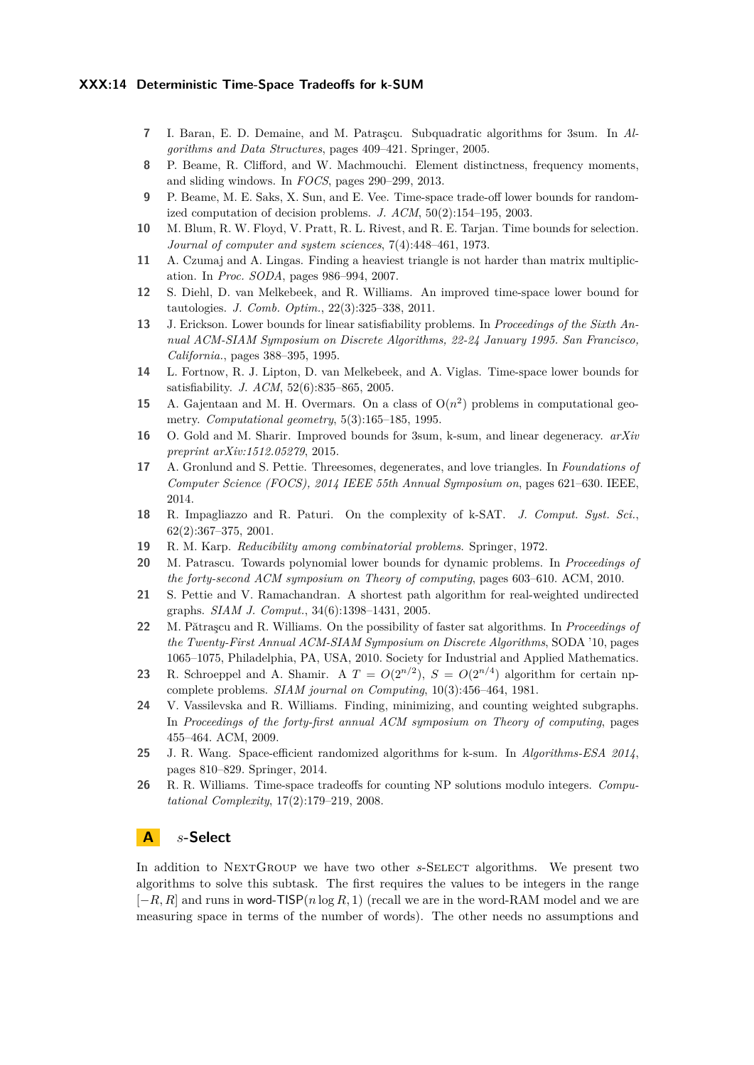#### **XXX:14 Deterministic Time-Space Tradeoffs for k-SUM**

- <span id="page-13-14"></span>**7** I. Baran, E. D. Demaine, and M. Patraşcu. Subquadratic algorithms for 3sum. In *Algorithms and Data Structures*, pages 409–421. Springer, 2005.
- <span id="page-13-12"></span>**8** P. Beame, R. Clifford, and W. Machmouchi. Element distinctness, frequency moments, and sliding windows. In *FOCS*, pages 290–299, 2013.
- <span id="page-13-8"></span>**9** P. Beame, M. E. Saks, X. Sun, and E. Vee. Time-space trade-off lower bounds for randomized computation of decision problems. *J. ACM*, 50(2):154–195, 2003.
- <span id="page-13-19"></span>**10** M. Blum, R. W. Floyd, V. Pratt, R. L. Rivest, and R. E. Tarjan. Time bounds for selection. *Journal of computer and system sciences*, 7(4):448–461, 1973.
- <span id="page-13-18"></span>**11** A. Czumaj and A. Lingas. Finding a heaviest triangle is not harder than matrix multiplication. In *Proc. SODA*, pages 986–994, 2007.
- <span id="page-13-10"></span>**12** S. Diehl, D. van Melkebeek, and R. Williams. An improved time-space lower bound for tautologies. *J. Comb. Optim.*, 22(3):325–338, 2011.
- <span id="page-13-16"></span>**13** J. Erickson. Lower bounds for linear satisfiability problems. In *Proceedings of the Sixth Annual ACM-SIAM Symposium on Discrete Algorithms, 22-24 January 1995. San Francisco, California.*, pages 388–395, 1995.
- <span id="page-13-9"></span>**14** L. Fortnow, R. J. Lipton, D. van Melkebeek, and A. Viglas. Time-space lower bounds for satisfiability. *J. ACM*, 52(6):835–865, 2005.
- <span id="page-13-2"></span>**15** A. Gajentaan and M. H. Overmars. On a class of  $O(n^2)$  problems in computational geometry. *Computational geometry*, 5(3):165–185, 1995.
- <span id="page-13-6"></span>**16** O. Gold and M. Sharir. Improved bounds for 3sum, k-sum, and linear degeneracy. *arXiv preprint arXiv:1512.05279*, 2015.
- <span id="page-13-15"></span>**17** A. Gronlund and S. Pettie. Threesomes, degenerates, and love triangles. In *Foundations of Computer Science (FOCS), 2014 IEEE 55th Annual Symposium on*, pages 621–630. IEEE, 2014.
- <span id="page-13-1"></span>**18** R. Impagliazzo and R. Paturi. On the complexity of k-SAT. *J. Comput. Syst. Sci.*, 62(2):367–375, 2001.
- <span id="page-13-5"></span>**19** R. M. Karp. *Reducibility among combinatorial problems*. Springer, 1972.
- <span id="page-13-7"></span>**20** M. Patrascu. Towards polynomial lower bounds for dynamic problems. In *Proceedings of the forty-second ACM symposium on Theory of computing*, pages 603–610. ACM, 2010.
- <span id="page-13-13"></span>**21** S. Pettie and V. Ramachandran. A shortest path algorithm for real-weighted undirected graphs. *SIAM J. Comput.*, 34(6):1398–1431, 2005.
- <span id="page-13-0"></span>**22** M. Pătraşcu and R. Williams. On the possibility of faster sat algorithms. In *Proceedings of the Twenty-First Annual ACM-SIAM Symposium on Discrete Algorithms*, SODA '10, pages 1065–1075, Philadelphia, PA, USA, 2010. Society for Industrial and Applied Mathematics.
- <span id="page-13-3"></span>**23** R. Schroeppel and A. Shamir. A  $T = O(2^{n/2})$ ,  $S = O(2^{n/4})$  algorithm for certain npcomplete problems. *SIAM journal on Computing*, 10(3):456–464, 1981.
- <span id="page-13-17"></span>**24** V. Vassilevska and R. Williams. Finding, minimizing, and counting weighted subgraphs. In *Proceedings of the forty-first annual ACM symposium on Theory of computing*, pages 455–464. ACM, 2009.
- <span id="page-13-4"></span>**25** J. R. Wang. Space-efficient randomized algorithms for k-sum. In *Algorithms-ESA 2014*, pages 810–829. Springer, 2014.
- <span id="page-13-11"></span>**26** R. R. Williams. Time-space tradeoffs for counting NP solutions modulo integers. *Computational Complexity*, 17(2):179–219, 2008.

## <span id="page-13-20"></span>**A** *s***-Select**

In addition to NEXTGROUP we have two other *s*-SELECT algorithms. We present two algorithms to solve this subtask. The first requires the values to be integers in the range [−*R, R*] and runs in word-TISP(*n* log *R,* 1) (recall we are in the word-RAM model and we are measuring space in terms of the number of words). The other needs no assumptions and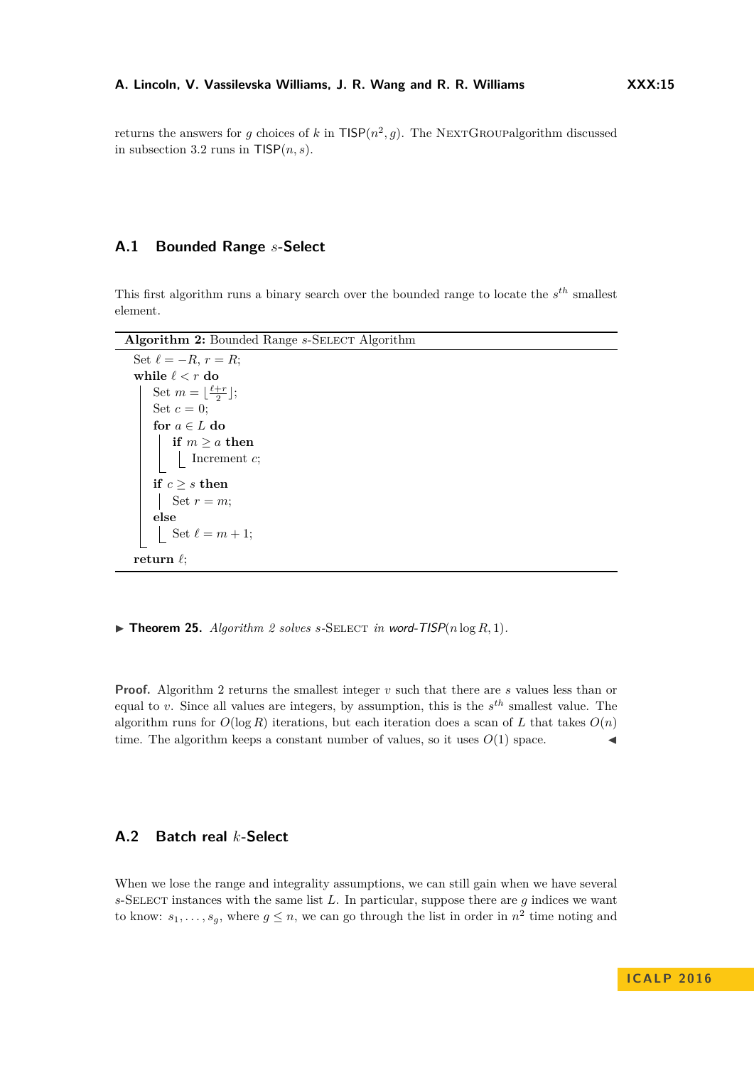returns the answers for *g* choices of *k* in  $TISP(n^2, g)$ . The NEXTGROUPalgorithm discussed in subsection [3.2](#page-6-1) runs in  $TISP(n, s)$ .

## **A.1 Bounded Range** *s***-Select**

This first algorithm runs a binary search over the bounded range to locate the *s th* smallest element.

<span id="page-14-0"></span>Algorithm 2: Bounded Range *s*-SELECT Algorithm

| Set $\ell = -R$ , $r = R$ ;                  |
|----------------------------------------------|
| while $\ell < r$ do                          |
| Set $m = \lfloor \frac{\ell+r}{2} \rfloor$ ; |
| Set $c=0$ ;                                  |
| for $a \in L$ do                             |
| if $m \ge a$ then                            |
| Increment $c$ ;                              |
| if $c > s$ then                              |
| Set $r = m$ ;                                |
| else                                         |
| Set $\ell = m + 1$ ;                         |
| return $\ell$ :                              |

 $\triangleright$  **Theorem [2](#page-14-0)5.** *Algorithm 2 solves s*-SELECT *in* word-TISP( $n \log R, 1$ )*.* 

**Proof.** Algorithm [2](#page-14-0) returns the smallest integer *v* such that there are *s* values less than or equal to *v*. Since all values are integers, by assumption, this is the *s th* smallest value. The algorithm runs for  $O(\log R)$  iterations, but each iteration does a scan of *L* that takes  $O(n)$ time. The algorithm keeps a constant number of values, so it uses  $O(1)$  space.

## **A.2 Batch real** *k***-Select**

When we lose the range and integrality assumptions, we can still gain when we have several *s*-Select instances with the same list *L*. In particular, suppose there are *g* indices we want to know:  $s_1, \ldots, s_g$ , where  $g \leq n$ , we can go through the list in order in  $n^2$  time noting and